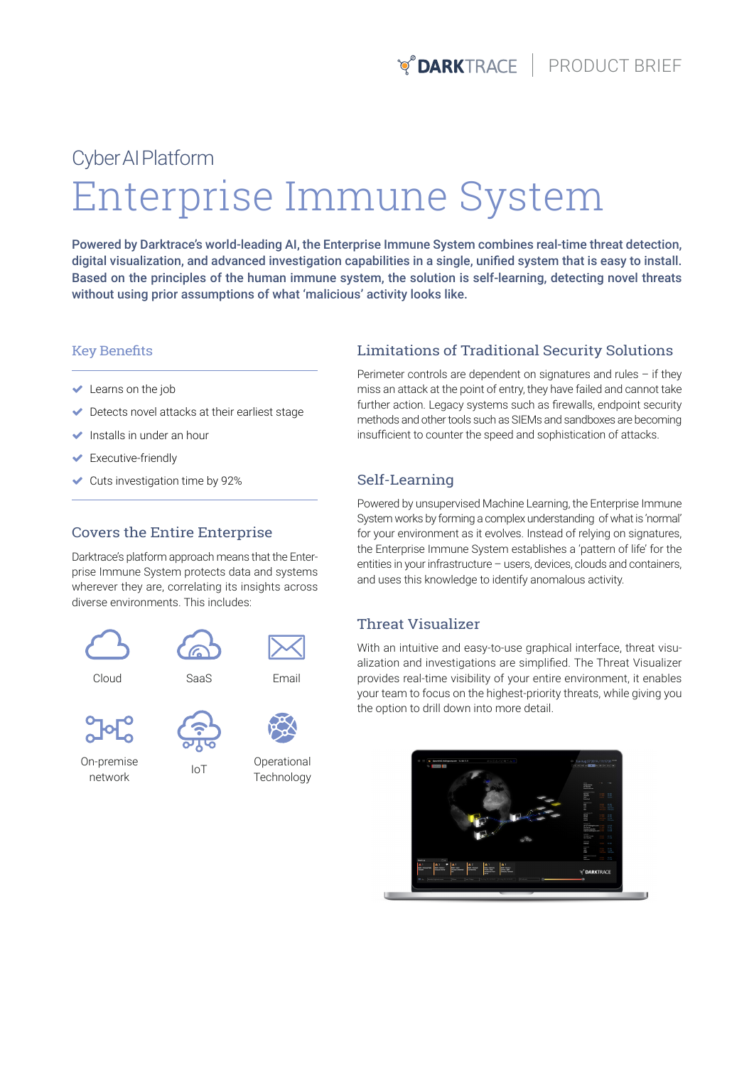# Enterprise Immune System Cyber AI Platform

Powered by Darktrace's world-leading AI, the Enterprise Immune System combines real-time threat detection, digital visualization, and advanced investigation capabilities in a single, unified system that is easy to install. Based on the principles of the human immune system, the solution is self-learning, detecting novel threats without using prior assumptions of what 'malicious' activity looks like.

### Key Benefits

- $\blacktriangleright$  Learns on the job
- Detects novel attacks at their earliest stage
- $\blacktriangleright$  Installs in under an hour
- **Executive-friendly**
- $\blacktriangleright$  Cuts investigation time by 92%

#### Covers the Entire Enterprise

Darktrace's platform approach means that the Enterprise Immune System protects data and systems wherever they are, correlating its insights across diverse environments. This includes:





Cloud SaaS Email



On-premise network



IoT

Operational

**Technology** 

## Limitations of Traditional Security Solutions

Perimeter controls are dependent on signatures and rules – if they miss an attack at the point of entry, they have failed and cannot take further action. Legacy systems such as firewalls, endpoint security methods and other tools such as SIEMs and sandboxes are becoming insufficient to counter the speed and sophistication of attacks.

## Self-Learning

Powered by unsupervised Machine Learning, the Enterprise Immune System works by forming a complex understanding of what is 'normal' for your environment as it evolves. Instead of relying on signatures, the Enterprise Immune System establishes a 'pattern of life' for the entities in your infrastructure – users, devices, clouds and containers, and uses this knowledge to identify anomalous activity.

### Threat Visualizer

With an intuitive and easy-to-use graphical interface, threat visualization and investigations are simplified. The Threat Visualizer provides real-time visibility of your entire environment, it enables your team to focus on the highest-priority threats, while giving you the option to drill down into more detail.